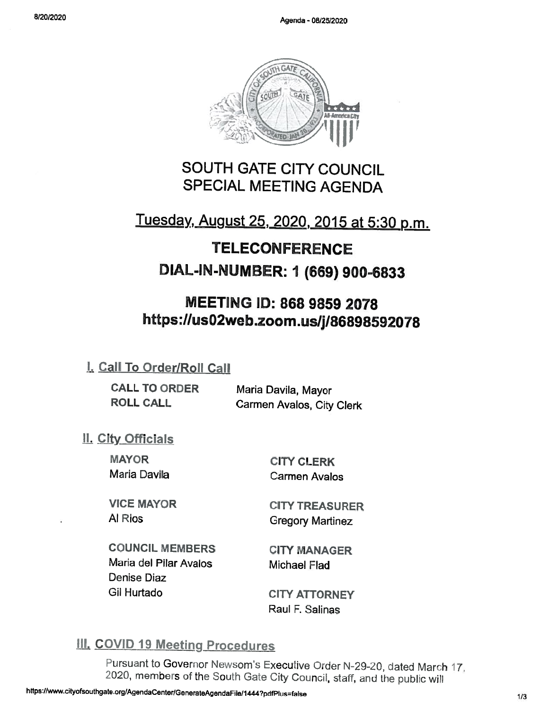

## SOUTH GATE CITY COUNCIL SPECIAL MEETING AGENDA

# Tuesday, August 25, 2020, <sup>2015</sup> at 5:30 p.m.

# TELECONFERENCE DIAL-IN-NUMBER: 1 (669) 900-6833

## MEETING ID: 868 9859 2078 https://us02web.zoom.us/j/86898592078

## L Call To Order/Roll Call

| <b>CALL TO ORDER</b> | Maria Davila, Mayor       |
|----------------------|---------------------------|
| <b>ROLL CALL</b>     | Carmen Avalos, City Clerk |

## <u>II. City Officials</u>

**MAYOR** Maria Davila

CITY CLERK Carmen Avalos

VICE MAYOR Al Rios

CITY TREASURER Gregory Martinez

COUNCIL MEMBERS Maria del Pilar Avalos Denise Diaz Gil Hurtado

CITY MANAGER Michael Flad

CITY ATTORNEY Raul F. Salinas

## III. COVID 19 Meeting Procedures

Pursuant to Governor Newsom's Executive Order N-29-20, dated March 17, 2020, members of the South Gate City Council, staff, and the public will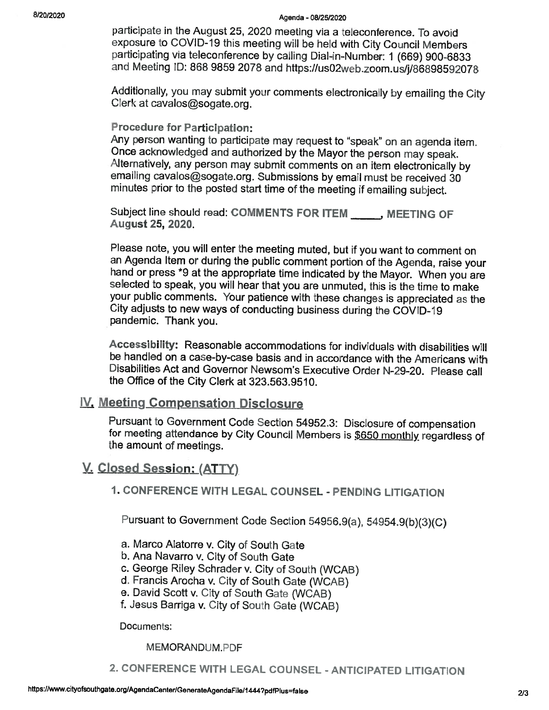#### 8/20/2020 Agenda - 08/25/2020

participate in the August 25, 2020 meeting via a teleconference. To avoid exposure to COVID-19 this meeting will be held with City Council Members participating via teleconference by calling Dial-in-Number: 1 (669) 900-6833 and Meeting ID: 868 9859 2078 and https://us02web.zoom.us/j/86898592078

Additionally, you may submit your comments electronically by emailing the City Clerk at cavalos@sogate.org.

#### Procedure for Participation:

Any person wanting to participate may request to "speak" on an agenda item. Once acknowledged and authorized by the Mayor the person may speak. Alternatively, any person may submit comments on an item electronically by emailing cavalos@sogate.org. Submissions by email must be received 30 minutes prior to the posted start time of the meeting if emailing subject.

Subject line should read: COMMENTS FOR ITEM MEETING OF August 25, 2020.

Please note, you will enter the meeting muted, but if you want to comment on an Agenda Item or during the public comment portion of the Agenda, raise your hand or press \*9 at the appropriate time indicated by the Mayor. When you are selected to speak, you will hear that you are unmuted, this is the time to make your public comments. Your patience with these changes is appreciated as the City adjusts to new ways of conducting business during the COVID-19 pandemic. Thank you.

Accessibility: Reasonable accommodations for individuals with disabilities will be handled on <sup>a</sup> case-by-case basis and in accordance with the Americans with Disabilities Act and Governor Newsom's Executive Order N-29-20. Please call the Office of the City Clerk at 323.563.9510.

### IV. Meeting Compensation Disclosure

Pursuant to Government Code Section 54952.3: Disclosure of compensation for meeting attendance by City Council Members is \$650 monthly, regardless of the amount of meetings.

### V. Closed Session: (ATTY)

1. CONFERENCE WITH LEGAL COUNSEL - PENDING LITIGATION

Pursuant to Government Code Section 54956.9(a), 54954.9(b)(3)(C)

- a. Marco Alatorre v. City of South Gate
- b. Ana Navarro v. City of South Gate
- c. George Riley Schrader v. City of South (WCAB)
- d. Francis Arocha v. City of South Gate (WCAB)
- e. David Scott v. City of South Gate (WCA8)
- f. Jesus Barriga v. City of South Gate (WCAB)

Documents:

#### MEMORANDUM.PDF

2. CONFERENCE WITH LEGAL COUNSEL - ANTICIPATED LITIGATiON